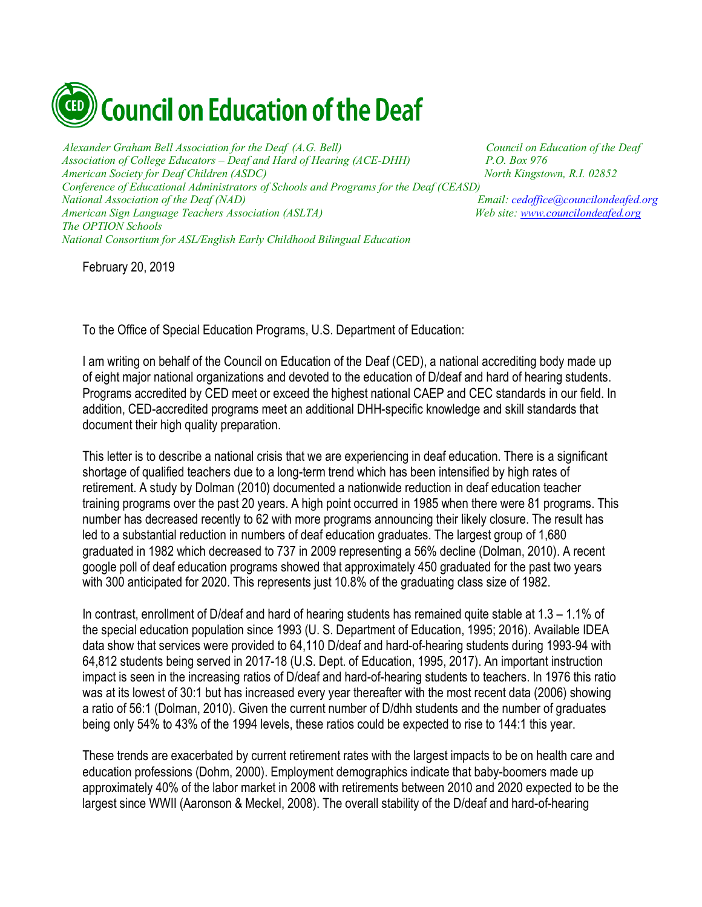## **Council on Education of the Deaf**

 *Alexander Graham Bell Association for the Deaf (A.G. Bell) Council on Education of the Deaf Association of College Educators – Deaf and Hard of Hearing (ACE-DHH) P.O. Box 976 American Society for Deaf Children (ASDC)* North Kingstown, R.I. 02852 *Conference of Educational Administrators of Schools and Programs for the Deaf (CEASD) National Association of the Deaf (NAD) Email: cedoffice@councilondeafed.org American Sign Language Teachers Association (ASLTA) Web site: www.councilondeafed.org The OPTION Schools National Consortium for ASL/English Early Childhood Bilingual Education*

February 20, 2019

To the Office of Special Education Programs, U.S. Department of Education:

I am writing on behalf of the Council on Education of the Deaf (CED), a national accrediting body made up of eight major national organizations and devoted to the education of D/deaf and hard of hearing students. Programs accredited by CED meet or exceed the highest national CAEP and CEC standards in our field. In addition, CED-accredited programs meet an additional DHH-specific knowledge and skill standards that document their high quality preparation.

This letter is to describe a national crisis that we are experiencing in deaf education. There is a significant shortage of qualified teachers due to a long-term trend which has been intensified by high rates of retirement. A study by Dolman (2010) documented a nationwide reduction in deaf education teacher training programs over the past 20 years. A high point occurred in 1985 when there were 81 programs. This number has decreased recently to 62 with more programs announcing their likely closure. The result has led to a substantial reduction in numbers of deaf education graduates. The largest group of 1,680 graduated in 1982 which decreased to 737 in 2009 representing a 56% decline (Dolman, 2010). A recent google poll of deaf education programs showed that approximately 450 graduated for the past two years with 300 anticipated for 2020. This represents just 10.8% of the graduating class size of 1982.

In contrast, enrollment of D/deaf and hard of hearing students has remained quite stable at 1.3 – 1.1% of the special education population since 1993 (U. S. Department of Education, 1995; 2016). Available IDEA data show that services were provided to 64,110 D/deaf and hard-of-hearing students during 1993-94 with 64,812 students being served in 2017-18 (U.S. Dept. of Education, 1995, 2017). An important instruction impact is seen in the increasing ratios of D/deaf and hard-of-hearing students to teachers. In 1976 this ratio was at its lowest of 30:1 but has increased every year thereafter with the most recent data (2006) showing a ratio of 56:1 (Dolman, 2010). Given the current number of D/dhh students and the number of graduates being only 54% to 43% of the 1994 levels, these ratios could be expected to rise to 144:1 this year.

These trends are exacerbated by current retirement rates with the largest impacts to be on health care and education professions (Dohm, 2000). Employment demographics indicate that baby-boomers made up approximately 40% of the labor market in 2008 with retirements between 2010 and 2020 expected to be the largest since WWII (Aaronson & Meckel, 2008). The overall stability of the D/deaf and hard-of-hearing